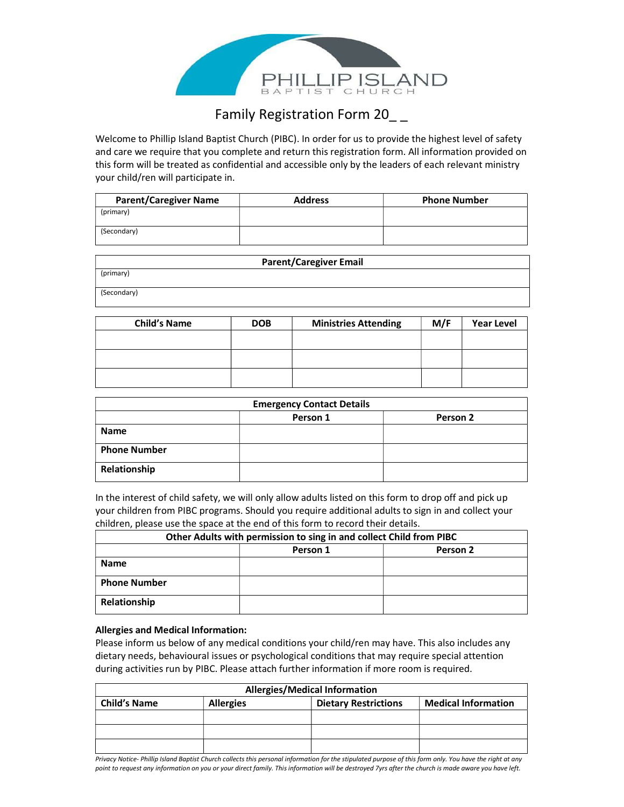

# Family Registration Form 20\_\_

Welcome to Phillip Island Baptist Church (PIBC). In order for us to provide the highest level of safety and care we require that you complete and return this registration form. All information provided on this form will be treated as confidential and accessible only by the leaders of each relevant ministry your child/ren will participate in.

| <b>Parent/Caregiver Name</b> | <b>Address</b> | <b>Phone Number</b> |
|------------------------------|----------------|---------------------|
| (primary)                    |                |                     |
| (Secondary)                  |                |                     |

|             | <b>Parent/Caregiver Email</b> |
|-------------|-------------------------------|
| (primary)   |                               |
| (Secondary) |                               |

| <b>Child's Name</b> | <b>DOB</b> | <b>Ministries Attending</b> | M/F | <b>Year Level</b> |
|---------------------|------------|-----------------------------|-----|-------------------|
|                     |            |                             |     |                   |
|                     |            |                             |     |                   |
|                     |            |                             |     |                   |
|                     |            |                             |     |                   |

|                     | <b>Emergency Contact Details</b> |          |
|---------------------|----------------------------------|----------|
|                     | Person 1                         | Person 2 |
| <b>Name</b>         |                                  |          |
| <b>Phone Number</b> |                                  |          |
| Relationship        |                                  |          |

In the interest of child safety, we will only allow adults listed on this form to drop off and pick up your children from PIBC programs. Should you require additional adults to sign in and collect your children, please use the space at the end of this form to record their details.

| Other Adults with permission to sing in and collect Child from PIBC |          |          |
|---------------------------------------------------------------------|----------|----------|
|                                                                     | Person 1 | Person 2 |
| <b>Name</b>                                                         |          |          |
| <b>Phone Number</b>                                                 |          |          |
| Relationship                                                        |          |          |

## Allergies and Medical Information:

Please inform us below of any medical conditions your child/ren may have. This also includes any dietary needs, behavioural issues or psychological conditions that may require special attention during activities run by PIBC. Please attach further information if more room is required.

| <b>Allergies/Medical Information</b> |                  |                             |                            |
|--------------------------------------|------------------|-----------------------------|----------------------------|
| <b>Child's Name</b>                  | <b>Allergies</b> | <b>Dietary Restrictions</b> | <b>Medical Information</b> |
|                                      |                  |                             |                            |
|                                      |                  |                             |                            |
|                                      |                  |                             |                            |

Privacy Notice- Phillip Island Baptist Church collects this personal information for the stipulated purpose of this form only. You have the right at any point to request any information on you or your direct family. This information will be destroyed 7yrs after the church is made aware you have left.